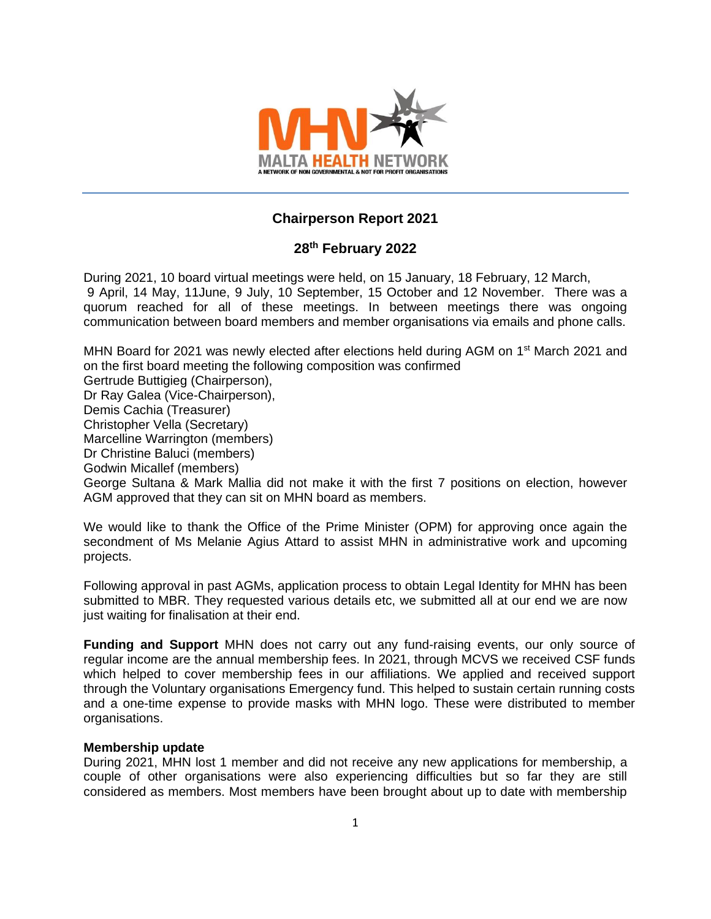

# **Chairperson Report 2021**

# **28 th February 2022**

During 2021, 10 board virtual meetings were held, on 15 January, 18 February, 12 March, 9 April, 14 May, 11June, 9 July, 10 September, 15 October and 12 November. There was a quorum reached for all of these meetings. In between meetings there was ongoing communication between board members and member organisations via emails and phone calls.

MHN Board for 2021 was newly elected after elections held during AGM on 1<sup>st</sup> March 2021 and on the first board meeting the following composition was confirmed

Gertrude Buttigieg (Chairperson),

Dr Ray Galea (Vice-Chairperson),

Demis Cachia (Treasurer)

Christopher Vella (Secretary)

Marcelline Warrington (members)

Dr Christine Baluci (members)

Godwin Micallef (members)

George Sultana & Mark Mallia did not make it with the first 7 positions on election, however AGM approved that they can sit on MHN board as members.

We would like to thank the Office of the Prime Minister (OPM) for approving once again the secondment of Ms Melanie Agius Attard to assist MHN in administrative work and upcoming projects.

Following approval in past AGMs, application process to obtain Legal Identity for MHN has been submitted to MBR. They requested various details etc, we submitted all at our end we are now just waiting for finalisation at their end.

**Funding and Support** MHN does not carry out any fund-raising events, our only source of regular income are the annual membership fees. In 2021, through MCVS we received CSF funds which helped to cover membership fees in our affiliations. We applied and received support through the Voluntary organisations Emergency fund. This helped to sustain certain running costs and a one-time expense to provide masks with MHN logo. These were distributed to member organisations.

# **Membership update**

During 2021, MHN lost 1 member and did not receive any new applications for membership, a couple of other organisations were also experiencing difficulties but so far they are still considered as members. Most members have been brought about up to date with membership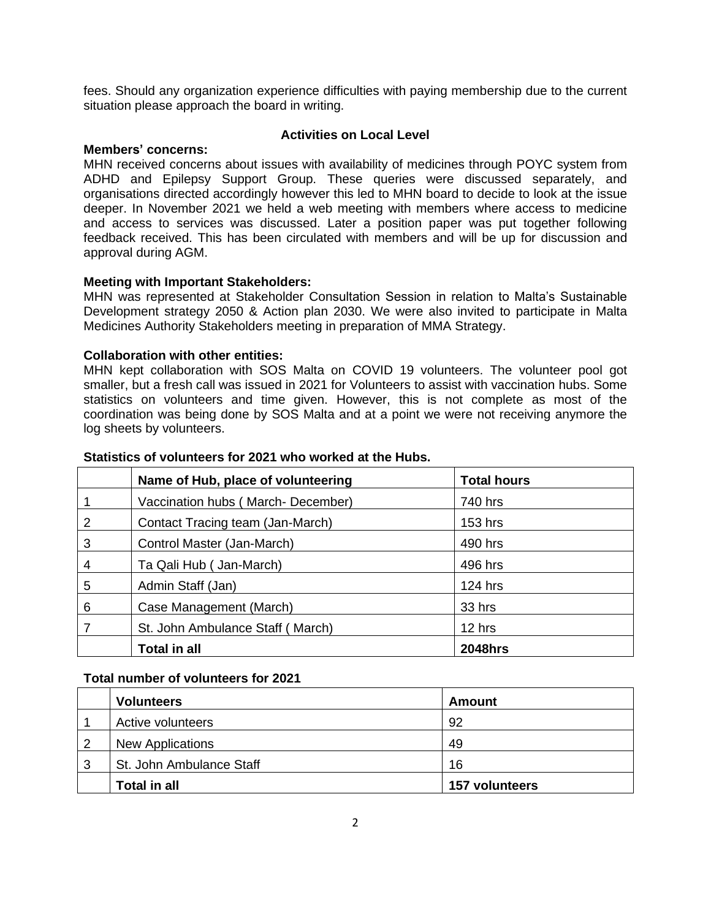fees. Should any organization experience difficulties with paying membership due to the current situation please approach the board in writing.

### **Members' concerns:**

# **Activities on Local Level**

MHN received concerns about issues with availability of medicines through POYC system from ADHD and Epilepsy Support Group. These queries were discussed separately, and organisations directed accordingly however this led to MHN board to decide to look at the issue deeper. In November 2021 we held a web meeting with members where access to medicine and access to services was discussed. Later a position paper was put together following feedback received. This has been circulated with members and will be up for discussion and approval during AGM.

# **Meeting with Important Stakeholders:**

MHN was represented at Stakeholder Consultation Session in relation to Malta's Sustainable Development strategy 2050 & Action plan 2030. We were also invited to participate in Malta Medicines Authority Stakeholders meeting in preparation of MMA Strategy.

# **Collaboration with other entities:**

MHN kept collaboration with SOS Malta on COVID 19 volunteers. The volunteer pool got smaller, but a fresh call was issued in 2021 for Volunteers to assist with vaccination hubs. Some statistics on volunteers and time given. However, this is not complete as most of the coordination was being done by SOS Malta and at a point we were not receiving anymore the log sheets by volunteers.

|   | Name of Hub, place of volunteering | <b>Total hours</b> |
|---|------------------------------------|--------------------|
|   | Vaccination hubs (March-December)  | 740 hrs            |
| 2 | Contact Tracing team (Jan-March)   | 153 hrs            |
| 3 | Control Master (Jan-March)         | 490 hrs            |
| 4 | Ta Qali Hub ( Jan-March)           | 496 hrs            |
| 5 | Admin Staff (Jan)                  | <b>124 hrs</b>     |
| 6 | Case Management (March)            | 33 hrs             |
|   | St. John Ambulance Staff (March)   | 12 hrs             |
|   | <b>Total in all</b>                | <b>2048hrs</b>     |

# **Statistics of volunteers for 2021 who worked at the Hubs.**

# **Total number of volunteers for 2021**

|   | <b>Volunteers</b>        | Amount         |
|---|--------------------------|----------------|
|   | Active volunteers        | 92             |
| 2 | <b>New Applications</b>  | 49             |
| 3 | St. John Ambulance Staff | 16             |
|   | <b>Total in all</b>      | 157 volunteers |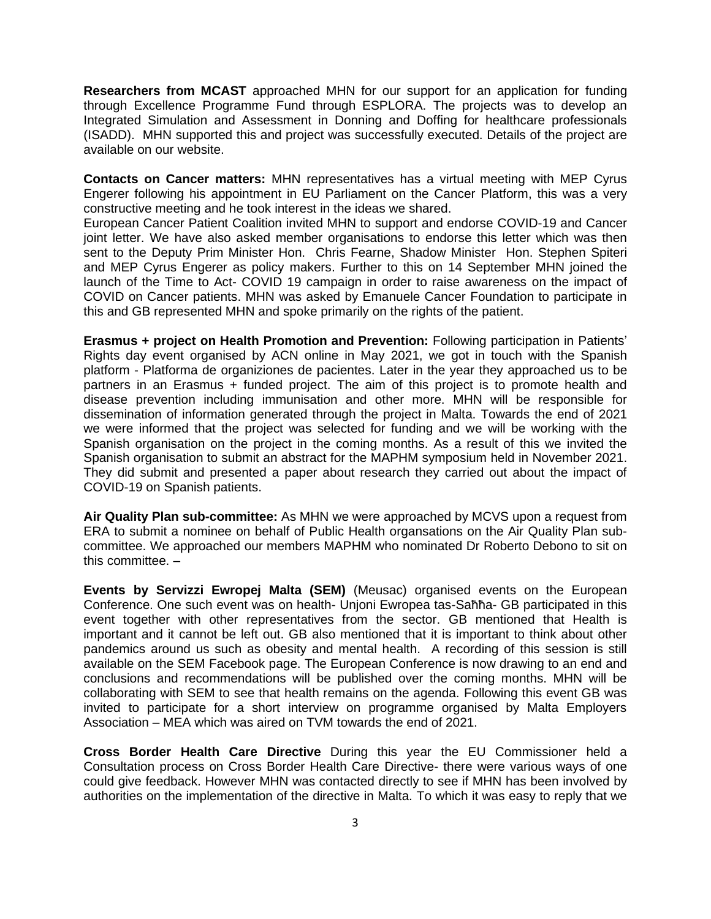**Researchers from MCAST** approached MHN for our support for an application for funding through Excellence Programme Fund through ESPLORA. The projects was to develop an Integrated Simulation and Assessment in Donning and Doffing for healthcare professionals (ISADD). MHN supported this and project was successfully executed. Details of the project are available on our website.

**Contacts on Cancer matters:** MHN representatives has a virtual meeting with MEP Cyrus Engerer following his appointment in EU Parliament on the Cancer Platform, this was a very constructive meeting and he took interest in the ideas we shared.

European Cancer Patient Coalition invited MHN to support and endorse COVID-19 and Cancer joint letter. We have also asked member organisations to endorse this letter which was then sent to the Deputy Prim Minister Hon. Chris Fearne, Shadow Minister Hon. Stephen Spiteri and MEP Cyrus Engerer as policy makers. Further to this on 14 September MHN joined the launch of the Time to Act- COVID 19 campaign in order to raise awareness on the impact of COVID on Cancer patients. MHN was asked by Emanuele Cancer Foundation to participate in this and GB represented MHN and spoke primarily on the rights of the patient.

**Erasmus + project on Health Promotion and Prevention:** Following participation in Patients' Rights day event organised by ACN online in May 2021, we got in touch with the Spanish platform - Platforma de organiziones de pacientes. Later in the year they approached us to be partners in an Erasmus + funded project. The aim of this project is to promote health and disease prevention including immunisation and other more. MHN will be responsible for dissemination of information generated through the project in Malta. Towards the end of 2021 we were informed that the project was selected for funding and we will be working with the Spanish organisation on the project in the coming months. As a result of this we invited the Spanish organisation to submit an abstract for the MAPHM symposium held in November 2021. They did submit and presented a paper about research they carried out about the impact of COVID-19 on Spanish patients.

**Air Quality Plan sub-committee:** As MHN we were approached by MCVS upon a request from ERA to submit a nominee on behalf of Public Health organsations on the Air Quality Plan subcommittee. We approached our members MAPHM who nominated Dr Roberto Debono to sit on this committee. –

**Events by Servizzi Ewropej Malta (SEM)** (Meusac) organised events on the European Conference. One such event was on health- Unjoni Ewropea tas-Saħħa- GB participated in this event together with other representatives from the sector. GB mentioned that Health is important and it cannot be left out. GB also mentioned that it is important to think about other pandemics around us such as obesity and mental health. A recording of this session is still available on the SEM Facebook page. The European Conference is now drawing to an end and conclusions and recommendations will be published over the coming months. MHN will be collaborating with SEM to see that health remains on the agenda. Following this event GB was invited to participate for a short interview on programme organised by Malta Employers Association – MEA which was aired on TVM towards the end of 2021.

**Cross Border Health Care Directive** During this year the EU Commissioner held a Consultation process on Cross Border Health Care Directive- there were various ways of one could give feedback. However MHN was contacted directly to see if MHN has been involved by authorities on the implementation of the directive in Malta. To which it was easy to reply that we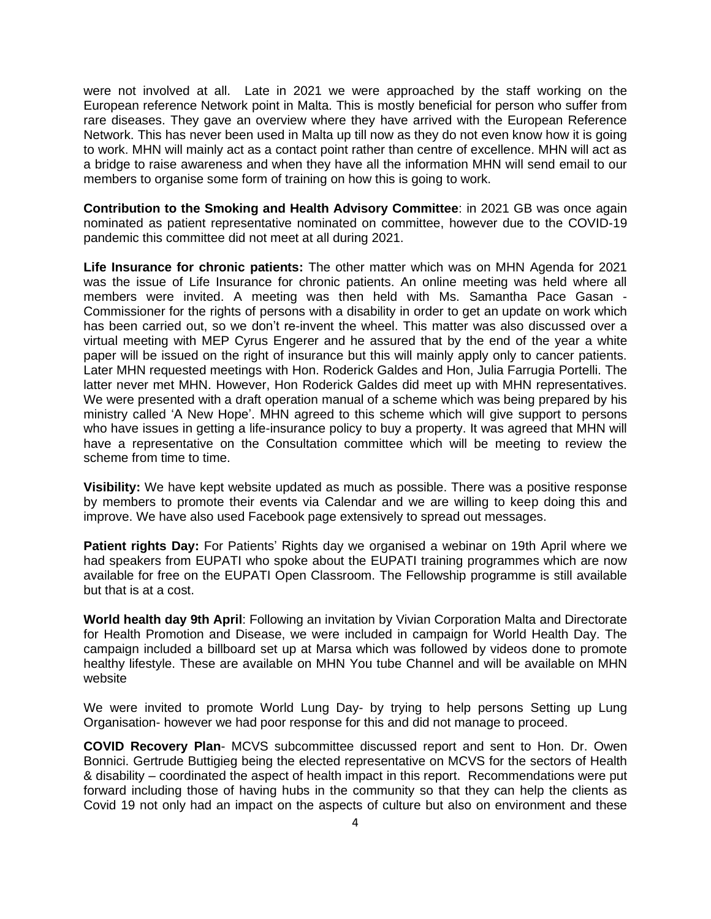were not involved at all. Late in 2021 we were approached by the staff working on the European reference Network point in Malta. This is mostly beneficial for person who suffer from rare diseases. They gave an overview where they have arrived with the European Reference Network. This has never been used in Malta up till now as they do not even know how it is going to work. MHN will mainly act as a contact point rather than centre of excellence. MHN will act as a bridge to raise awareness and when they have all the information MHN will send email to our members to organise some form of training on how this is going to work.

**Contribution to the Smoking and Health Advisory Committee**: in 2021 GB was once again nominated as patient representative nominated on committee, however due to the COVID-19 pandemic this committee did not meet at all during 2021.

**Life Insurance for chronic patients:** The other matter which was on MHN Agenda for 2021 was the issue of Life Insurance for chronic patients. An online meeting was held where all members were invited. A meeting was then held with Ms. Samantha Pace Gasan - Commissioner for the rights of persons with a disability in order to get an update on work which has been carried out, so we don't re-invent the wheel. This matter was also discussed over a virtual meeting with MEP Cyrus Engerer and he assured that by the end of the year a white paper will be issued on the right of insurance but this will mainly apply only to cancer patients. Later MHN requested meetings with Hon. Roderick Galdes and Hon, Julia Farrugia Portelli. The latter never met MHN. However, Hon Roderick Galdes did meet up with MHN representatives. We were presented with a draft operation manual of a scheme which was being prepared by his ministry called 'A New Hope'. MHN agreed to this scheme which will give support to persons who have issues in getting a life-insurance policy to buy a property. It was agreed that MHN will have a representative on the Consultation committee which will be meeting to review the scheme from time to time.

**Visibility:** We have kept website updated as much as possible. There was a positive response by members to promote their events via Calendar and we are willing to keep doing this and improve. We have also used Facebook page extensively to spread out messages.

**Patient rights Day:** For Patients' Rights day we organised a webinar on 19th April where we had speakers from EUPATI who spoke about the EUPATI training programmes which are now available for free on the [EUPATI Open Classroom.](https://learning.eupati.eu/) The Fellowship programme is still available but that is at a cost.

**World health day 9th April**: Following an invitation by Vivian Corporation Malta and Directorate for Health Promotion and Disease, we were included in campaign for World Health Day. The campaign included a billboard set up at Marsa which was followed by videos done to promote healthy lifestyle. These are available on MHN You tube Channel and will be available on MHN website

We were invited to promote World Lung Day- by trying to help persons Setting up Lung Organisation- however we had poor response for this and did not manage to proceed.

**COVID Recovery Plan**- MCVS subcommittee discussed report and sent to Hon. Dr. Owen Bonnici. Gertrude Buttigieg being the elected representative on MCVS for the sectors of Health & disability – coordinated the aspect of health impact in this report. Recommendations were put forward including those of having hubs in the community so that they can help the clients as Covid 19 not only had an impact on the aspects of culture but also on environment and these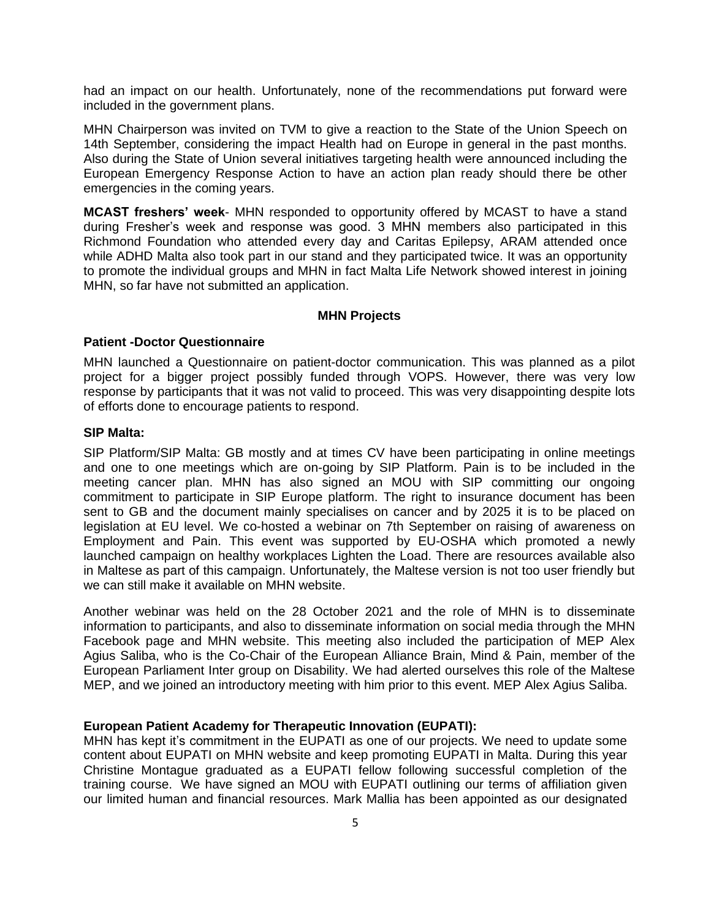had an impact on our health. Unfortunately, none of the recommendations put forward were included in the government plans.

MHN Chairperson was invited on TVM to give a reaction to the State of the Union Speech on 14th September, considering the impact Health had on Europe in general in the past months. Also during the State of Union several initiatives targeting health were announced including the European Emergency Response Action to have an action plan ready should there be other emergencies in the coming years.

**MCAST freshers' week**- MHN responded to opportunity offered by MCAST to have a stand during Fresher's week and response was good. 3 MHN members also participated in this Richmond Foundation who attended every day and Caritas Epilepsy, ARAM attended once while ADHD Malta also took part in our stand and they participated twice. It was an opportunity to promote the individual groups and MHN in fact Malta Life Network showed interest in joining MHN, so far have not submitted an application.

#### **MHN Projects**

### **Patient -Doctor Questionnaire**

MHN launched a Questionnaire on patient-doctor communication. This was planned as a pilot project for a bigger project possibly funded through VOPS. However, there was very low response by participants that it was not valid to proceed. This was very disappointing despite lots of efforts done to encourage patients to respond.

#### **SIP Malta:**

SIP Platform/SIP Malta: GB mostly and at times CV have been participating in online meetings and one to one meetings which are on-going by SIP Platform. Pain is to be included in the meeting cancer plan. MHN has also signed an MOU with SIP committing our ongoing commitment to participate in SIP Europe platform. The right to insurance document has been sent to GB and the document mainly specialises on cancer and by 2025 it is to be placed on legislation at EU level. We co-hosted a webinar on 7th September on raising of awareness on Employment and Pain. This event was supported by EU-OSHA which promoted a newly launched campaign on healthy workplaces Lighten the Load. There are resources available also in Maltese as part of this campaign. Unfortunately, the Maltese version is not too user friendly but we can still make it available on MHN website.

Another webinar was held on the 28 October 2021 and the role of MHN is to disseminate information to participants, and also to disseminate information on social media through the MHN Facebook page and MHN website. This meeting also included the participation of MEP Alex Agius Saliba, who is the Co-Chair of the European Alliance Brain, Mind & Pain, member of the European Parliament Inter group on Disability. We had alerted ourselves this role of the Maltese MEP, and we joined an introductory meeting with him prior to this event. MEP Alex Agius Saliba.

#### **European Patient Academy for Therapeutic Innovation (EUPATI):**

MHN has kept it's commitment in the EUPATI as one of our projects. We need to update some content about EUPATI on MHN website and keep promoting EUPATI in Malta. During this year Christine Montague graduated as a EUPATI fellow following successful completion of the training course. We have signed an MOU with EUPATI outlining our terms of affiliation given our limited human and financial resources. Mark Mallia has been appointed as our designated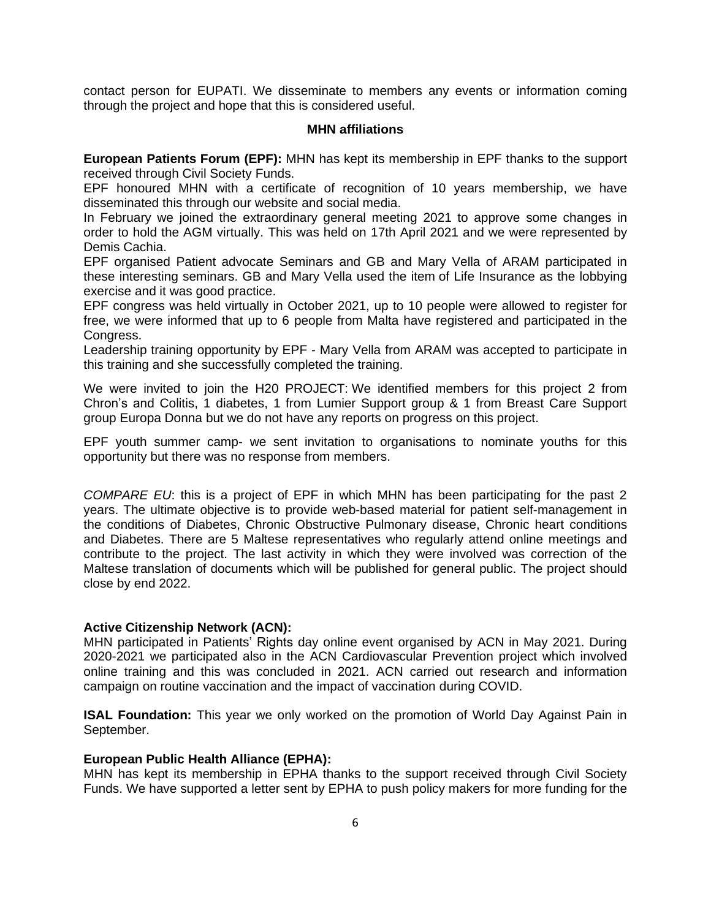contact person for EUPATI. We disseminate to members any events or information coming through the project and hope that this is considered useful.

#### **MHN affiliations**

**European Patients Forum (EPF):** MHN has kept its membership in EPF thanks to the support received through Civil Society Funds.

EPF honoured MHN with a certificate of recognition of 10 years membership, we have disseminated this through our website and social media.

In February we joined the extraordinary general meeting 2021 to approve some changes in order to hold the AGM virtually. This was held on 17th April 2021 and we were represented by Demis Cachia.

EPF organised Patient advocate Seminars and GB and Mary Vella of ARAM participated in these interesting seminars. GB and Mary Vella used the item of Life Insurance as the lobbying exercise and it was good practice.

EPF congress was held virtually in October 2021, up to 10 people were allowed to register for free, we were informed that up to 6 people from Malta have registered and participated in the Congress.

Leadership training opportunity by EPF - Mary Vella from ARAM was accepted to participate in this training and she successfully completed the training.

We were invited to join the H20 PROJECT: We identified members for this project 2 from Chron's and Colitis, 1 diabetes, 1 from Lumier Support group & 1 from Breast Care Support group Europa Donna but we do not have any reports on progress on this project.

EPF youth summer camp- we sent invitation to organisations to nominate youths for this opportunity but there was no response from members.

*COMPARE EU*: this is a project of EPF in which MHN has been participating for the past 2 years. The ultimate objective is to provide web-based material for patient self-management in the conditions of Diabetes, Chronic Obstructive Pulmonary disease, Chronic heart conditions and Diabetes. There are 5 Maltese representatives who regularly attend online meetings and contribute to the project. The last activity in which they were involved was correction of the Maltese translation of documents which will be published for general public. The project should close by end 2022.

### **Active Citizenship Network (ACN):**

MHN participated in Patients' Rights day online event organised by ACN in May 2021. During 2020-2021 we participated also in the ACN Cardiovascular Prevention project which involved online training and this was concluded in 2021. ACN carried out research and information campaign on routine vaccination and the impact of vaccination during COVID.

**ISAL Foundation:** This year we only worked on the promotion of World Day Against Pain in September.

### **European Public Health Alliance (EPHA):**

MHN has kept its membership in EPHA thanks to the support received through Civil Society Funds. We have supported a letter sent by EPHA to push policy makers for more funding for the